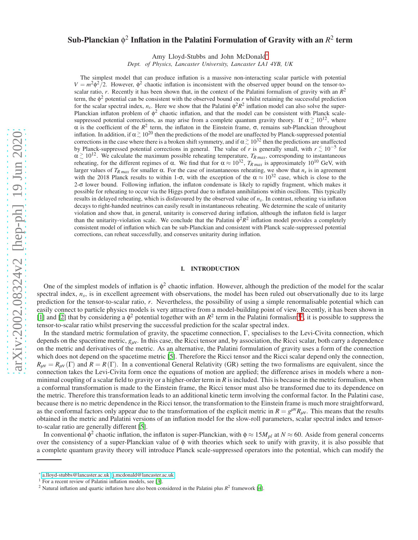# Sub-Planckian  $\phi^2$  Inflation in the Palatini Formulation of Gravity with an  $R^2$  term

Amy Lloyd-Stubbs and John McDonald[∗](#page-0-0)

*Dept. of Physics, Lancaster University, Lancaster LA1 4YB, UK*

The simplest model that can produce inflation is a massive non-interacting scalar particle with potential  $V = m^2 \phi^2 / 2$ . However,  $\phi^2$  chaotic inflation is inconsistent with the observed upper bound on the tensor-toscalar ratio, *r*. Recently it has been shown that, in the context of the Palatini formalism of gravity with an  $R^2$ term, the  $\phi^2$  potential can be consistent with the observed bound on *r* whilst retaining the successful prediction for the scalar spectral index,  $n_s$ . Here we show that the Palatini  $\phi^2 R^2$  inflation model can also solve the super-Planckian inflaton problem of  $\phi^2$  chaotic inflation, and that the model can be consistent with Planck scalesuppressed potential corrections, as may arise from a complete quantum gravity theory. If  $\alpha \stackrel{>}{\sim} 10^{12}$ , where  $\alpha$  is the coefficient of the  $R^2$  term, the inflaton in the Einstein frame,  $\sigma$ , remains sub-Planckian throughout inflation. In addition, if  $\alpha \gtrsim 10^{20}$  then the predictions of the model are unaffected by Planck-suppressed potential corrections in the case where there is a broken shift symmetry, and if  $\alpha \gtrsim 10^{32}$  then the predictions are unaffected by Planck-suppressed potential corrections in general. The value of *r* is generally small, with  $r \lesssim 10^{-5}$  for  $\alpha \gtrsim 10^{12}$ . We calculate the maximum possible reheating temperature,  $T_{R \text{ max}}$ , corresponding to instantaneous reheating, for the different regimes of α. We find that for  $\alpha \approx 10^{32}$ ,  $T_{R \text{ max}}$  is approximately 10<sup>10</sup> GeV, with larger values of  $T_{R max}$  for smaller  $\alpha$ . For the case of instantaneous reheating, we show that  $n_s$  is in agreement with the 2018 Planck results to within 1-σ, with the exception of the  $\alpha \approx 10^{32}$  case, which is close to the 2-σ lower bound. Following inflation, the inflaton condensate is likely to rapidly fragment, which makes it possible for reheating to occur via the Higgs portal due to inflaton annihilations within oscillons. This typically results in delayed reheating, which is disfavoured by the observed value of *ns*. In contrast, reheating via inflaton decays to right-handed neutrinos can easily result in instantaneous reheating. We determine the scale of unitarity violation and show that, in general, unitarity is conserved during inflation, although the inflaton field is larger than the unitarity-violation scale. We conclude that the Palatini  $\phi^2 R^2$  inflation model provides a completely consistent model of inflation which can be sub-Planckian and consistent with Planck scale-suppressed potential corrections, can reheat successfully, and conserves unitarity during inflation.

### I. INTRODUCTION

One of the simplest models of inflation is  $\phi^2$  chaotic inflation. However, although the prediction of the model for the scalar spectral index,  $n_s$ , is in excellent agreement with observations, the model has been ruled out observationally due to its large prediction for the tensor-to-scalar ratio, *r*. Nevertheless, the possibility of using a simple renormalisable potential which can easily connect to particle physics models is very attractive from a model-building point of view. Recently, it has been shown in [\[1](#page-15-0)] and [\[2\]](#page-15-1) that by considering a  $\phi^2$  $\phi^2$  potential together with an  $R^2$  term in the Palatini formalism<sup>[1](#page-0-1)2</sup>, it is possible to suppress the tensor-to-scalar ratio whilst preserving the successful prediction for the scalar spectral index.

In the standard metric formulation of gravity, the spacetime connection, Γ, specialises to the Levi-Civita connection, which depends on the spacetime metric,  $g_{\mu\nu}$ . In this case, the Ricci tensor and, by association, the Ricci scalar, both carry a dependence on the metric and derivatives of the metric. As an alternative, the Palatini formulation of gravity uses a form of the connection which does not depend on the spacetime metric [\[5\]](#page-15-2). Therefore the Ricci tensor and the Ricci scalar depend only the connection,  $R_{\mu\nu} = R_{\mu\nu}(\Gamma)$  and  $R = R(\Gamma)$ . In a conventional General Relativity (GR) setting the two formalisms are equivalent, since the connection takes the Levi-Civita form once the equations of motion are applied; the difference arises in models where a nonminimal coupling of a scalar field to gravity or a higher-order term in  $R$  is included. This is because in the metric formalism, when a conformal transformation is made to the Einstein frame, the Ricci tensor must also be transformed due to its dependence on the metric. Therefore this transformation leads to an additional kinetic term involving the conformal factor. In the Palatini case, because there is no metric dependence in the Ricci tensor, the transformation to the Einstein frame is much more straightforward, as the conformal factors only appear due to the transformation of the explicit metric in  $R = g^{\mu\nu}R_{\mu\nu}$ . This means that the results obtained in the metric and Palatini versions of an inflation model for the slow-roll parameters, scalar spectral index and tensorto-scalar ratio are generally different [\[5\]](#page-15-2).

In conventional  $\phi^2$  chaotic inflation, the inflaton is super-Planckian, with  $\phi \approx 15M_{pl}$  at  $N \approx 60$ . Aside from general concerns over the consistency of a super-Planckian value of φ with theories which seek to unify with gravity, it is also possible that a complete quantum gravity theory will introduce Planck scale-suppressed operators into the potential, which can modify the

<span id="page-0-0"></span><sup>∗</sup> [a.lloyd-stubbs@lancaster.ac.uk;](mailto:a.lloyd-stubbs@lancaster.ac.uk) [j.mcdonald@lancaster.ac.uk](mailto:j.mcdonald@lancaster.ac.uk)

 $<sup>1</sup>$  For a recent review of Palatini inflation models, see [\[3](#page-15-3)].</sup>

<span id="page-0-2"></span><span id="page-0-1"></span><sup>&</sup>lt;sup>2</sup> Natural inflation and quartic inflation have also been considered in the Palatini plus  $R^2$  framework [\[4\]](#page-15-4).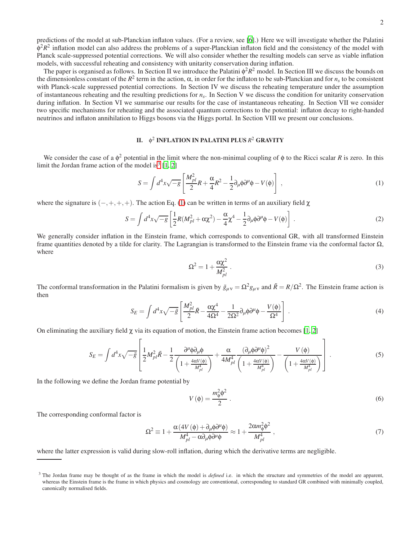predictions of the model at sub-Planckian inflaton values. (For a review, see [\[6\]](#page-15-5).) Here we will investigate whether the Palatini  $\phi^2 R^2$  inflation model can also address the problems of a super-Planckian inflaton field and the consistency of the model with Planck scale-suppressed potential corrections. We will also consider whether the resulting models can serve as viable inflation models, with successful reheating and consistency with unitarity conservation during inflation.

The paper is organised as follows. In Section II we introduce the Palatini  $\phi^2 R^2$  model. In Section III we discuss the bounds on the dimensionless constant of the  $R^2$  term in the action,  $\alpha$ , in order for the inflaton to be sub-Planckian and for  $n_s$  to be consistent with Planck-scale suppressed potential corrections. In Section IV we discuss the reheating temperature under the assumption of instantaneous reheating and the resulting predictions for *n<sup>s</sup>* . In Section V we discuss the condition for unitarity conservation during inflation. In Section VI we summarise our results for the case of instantaneous reheating. In Section VII we consider two specific mechanisms for reheating and the associated quantum corrections to the potential: inflaton decay to right-handed neutrinos and inflaton annihilation to Higgs bosons via the Higgs portal. In Section VIII we present our conclusions.

# II. φ 2 INFLATION IN PALATINI PLUS *R* <sup>2</sup> GRAVITY

We consider the case of a  $\phi^2$  potential in the limit where the non-minimal coupling of  $\phi$  to the Ricci scalar *R* is zero. In this limit the Jordan frame action of the model is<sup>[3](#page-1-0)</sup> [\[1](#page-15-0), [2](#page-15-1)]

<span id="page-1-1"></span>
$$
S = \int d^4x \sqrt{-g} \left[ \frac{M_{pl}^2}{2} R + \frac{\alpha}{4} R^2 - \frac{1}{2} \partial_\mu \phi \partial^\mu \phi - V(\phi) \right] , \qquad (1)
$$

where the signature is  $(-,+,+,+)$ . The action Eq. [\(1\)](#page-1-1) can be written in terms of an auxiliary field  $\chi$ 

$$
S = \int d^4x \sqrt{-g} \left[ \frac{1}{2} R(M_{pl}^2 + \alpha \chi^2) - \frac{\alpha}{4} \chi^4 - \frac{1}{2} \partial_\mu \phi \partial^\mu \phi - V(\phi) \right] \,. \tag{2}
$$

We generally consider inflation in the Einstein frame, which corresponds to conventional GR, with all transformed Einstein frame quantities denoted by a tilde for clarity. The Lagrangian is transformed to the Einstein frame via the conformal factor  $\Omega$ , where

$$
\Omega^2 = 1 + \frac{\alpha \chi^2}{M_{pl}^2} \,. \tag{3}
$$

The conformal transformation in the Palatini formalism is given by  $\tilde{g}_{\mu\nu} = \Omega^2 g_{\mu\nu}$  and  $\tilde{R} = R/\Omega^2$ . The Einstein frame action is then

$$
S_E = \int d^4x \sqrt{-\tilde{g}} \left[ \frac{M_{pl}^2}{2} \tilde{R} - \frac{\alpha \chi^4}{4\Omega^4} - \frac{1}{2\Omega^2} \partial_\mu \phi \partial^\mu \phi - \frac{V(\phi)}{\Omega^4} \right] \,. \tag{4}
$$

On eliminating the auxiliary field  $\chi$  via its equation of motion, the Einstein frame action becomes [\[1,](#page-15-0) [2\]](#page-15-1)

$$
S_E = \int d^4x \sqrt{-\tilde{g}} \left[ \frac{1}{2} M_{pl}^2 \tilde{R} - \frac{1}{2} \frac{\partial^{\mu} \phi \partial_{\mu} \phi}{\left( 1 + \frac{4\alpha V(\phi)}{M_{pl}^4} \right)} + \frac{\alpha}{4M_{pl}^4} \frac{(\partial_{\mu} \phi \partial^{\mu} \phi)^2}{\left( 1 + \frac{4\alpha V(\phi)}{M_{pl}^4} \right)} - \frac{V(\phi)}{\left( 1 + \frac{4\alpha V(\phi)}{M_{pl}^4} \right)} \right].
$$
 (5)

In the following we define the Jordan frame potential by

 $\mathbf{r}$ 

$$
V(\phi) = \frac{m_{\phi}^2 \phi^2}{2} \,. \tag{6}
$$

The corresponding conformal factor is

<span id="page-1-2"></span>
$$
\Omega^2 \equiv 1 + \frac{\alpha (4V(\phi) + \partial_\mu \phi \partial^\mu \phi)}{M_{pl}^4 - \alpha \partial_\mu \phi \partial^\mu \phi} \approx 1 + \frac{2\alpha m_\phi^2 \phi^2}{M_{pl}^4} \,,\tag{7}
$$

where the latter expression is valid during slow-roll inflation, during which the derivative terms are negligible.

<span id="page-1-0"></span><sup>&</sup>lt;sup>3</sup> The Jordan frame may be thought of as the frame in which the model is *defined* i.e. in which the structure and symmetries of the model are apparent, whereas the Einstein frame is the frame in which physics and cosmology are conventional, corresponding to standard GR combined with minimally coupled, canonically normalised fields.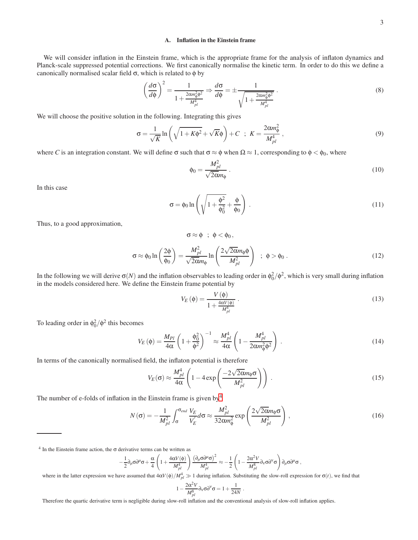# A. Inflation in the Einstein frame

We will consider inflation in the Einstein frame, which is the appropriate frame for the analysis of inflaton dynamics and Planck-scale suppressed potential corrections. We first canonically normalise the kinetic term. In order to do this we define a canonically normalised scalar field  $\sigma$ , which is related to  $\phi$  by

<span id="page-2-2"></span>
$$
\left(\frac{d\sigma}{d\phi}\right)^2 = \frac{1}{1 + \frac{2\alpha m_\phi^2 \phi^2}{M_{pl}^4}} \Rightarrow \frac{d\sigma}{d\phi} = \pm \frac{1}{\sqrt{1 + \frac{2\alpha m_\phi^2 \phi^2}{M_{pl}^4}}}.
$$
\n(8)

We will choose the positive solution in the following. Integrating this gives

$$
\sigma = \frac{1}{\sqrt{K}} \ln \left( \sqrt{1 + K\phi^2} + \sqrt{K}\phi \right) + C \quad ; \quad K = \frac{2\alpha m_\phi^2}{M_{pl}^4} \quad , \tag{9}
$$

where *C* is an integration constant. We will define  $\sigma$  such that  $\sigma \approx \phi$  when  $\Omega \approx 1$ , corresponding to  $\phi < \phi_0$ , where

$$
\phi_0 = \frac{M_{pl}^2}{\sqrt{2\alpha}m_\phi} \tag{10}
$$

In this case

$$
\sigma = \phi_0 \ln \left( \sqrt{1 + \frac{\phi^2}{\phi_0^2}} + \frac{\phi}{\phi_0} \right) \,. \tag{11}
$$

Thus, to a good approximation,

<span id="page-2-1"></span>
$$
\sigma \approx \phi \; ; \; \phi < \phi_0,
$$
  

$$
\sigma \approx \phi_0 \ln\left(\frac{2\phi}{\phi_0}\right) = \frac{M_{pl}^2}{\sqrt{2\alpha}m_{\phi}} \ln\left(\frac{2\sqrt{2\alpha}m_{\phi}\phi}{M_{pl}^2}\right) \; ; \; \phi > \phi_0.
$$
 (12)

In the following we will derive  $\sigma(N)$  and the inflation observables to leading order in  $\phi_0^2/\phi^2$ , which is very small during inflation in the models considered here. We define the Einstein frame potential by

$$
V_E(\phi) = \frac{V(\phi)}{1 + \frac{4\alpha V(\phi)}{M_{pl}^4}}.
$$
\n(13)

To leading order in  $\phi_0^2/\phi^2$  this becomes

$$
V_E(\phi) = \frac{M_{Pl}}{4\alpha} \left( 1 + \frac{\phi_0^2}{\phi^2} \right)^{-1} \approx \frac{M_{pl}^4}{4\alpha} \left( 1 - \frac{M_{pl}^4}{2\alpha m_\phi^2 \phi^2} \right) . \tag{14}
$$

In terms of the canonically normalised field, the inflaton potential is therefore

<span id="page-2-3"></span>
$$
V_E(\sigma) \approx \frac{M_{pl}^4}{4\alpha} \left( 1 - 4 \exp\left(\frac{-2\sqrt{2\alpha}m_{\phi}\sigma}{M_{pl}^2}\right) \right) \,. \tag{15}
$$

The number of e-folds of inflation in the Einstein frame is given by<sup>[4](#page-2-0)</sup>

$$
N(\sigma) = -\frac{1}{M_{pl}^2} \int_{\sigma}^{\sigma_{end}} \frac{V_E}{V_E'} d\sigma \approx \frac{M_{pl}^2}{32\alpha m_{\phi}^2} \exp\left(\frac{2\sqrt{2\alpha}m_{\phi}\sigma}{M_{pl}^2}\right),
$$
(16)

.

<span id="page-2-0"></span> $4$  In the Einstein frame action, the  $\sigma$  derivative terms can be written as

$$
-\frac{1}{2}\partial_{\mu}\sigma\partial^{\mu}\sigma+\frac{\alpha}{4}\left(1+\frac{4\alpha V(\phi)}{M_{pl}^4}\right)\frac{\left(\partial_{\mu}\sigma\partial^{\mu}\sigma\right)^2}{M_{pl}^4}\approx-\frac{1}{2}\left(1-\frac{2\alpha^2 V}{M_{pl}^8}\partial_{\nu}\sigma\partial^{\nu}\sigma\right)\partial_{\mu}\sigma\partial^{\mu}\sigma\ ,
$$

where in the latter expression we have assumed that  $4\alpha V(\phi)/M_{pl}^4 \gg 1$  during inflation. Substituting the slow-roll expression for  $\sigma(t)$ , we find that

$$
1-\frac{2\alpha^2 V}{M_{pl}^8}\partial_{\nu}\sigma\partial^{\nu}\sigma=1+\frac{1}{24N}
$$

Therefore the quartic derivative term is negligible during slow-roll inflation and the conventional analysis of slow-roll inflation applies.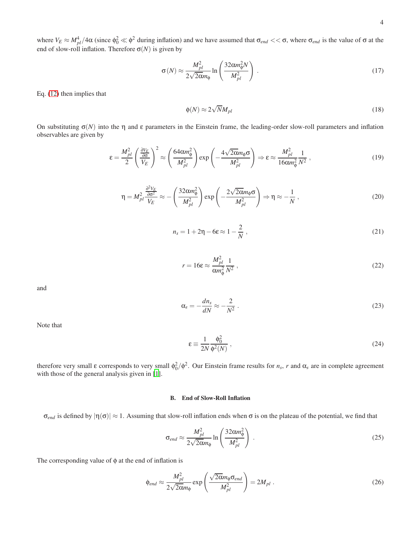end of slow-roll inflation. Therefore 
$$
\sigma(N)
$$
 is given by

<span id="page-3-0"></span>
$$
\sigma(N) \approx \frac{M_{pl}^2}{2\sqrt{2\alpha}m_{\phi}} \ln\left(\frac{32\alpha m_{\phi}^2 N}{M_{pl}^2}\right) \,. \tag{17}
$$

Eq. [\(12\)](#page-2-1) then implies that

$$
\phi(N) \approx 2\sqrt{N}M_{pl} \tag{18}
$$

On substituting  $\sigma(N)$  into the  $\eta$  and  $\varepsilon$  parameters in the Einstein frame, the leading-order slow-roll parameters and inflation observables are given by

$$
\varepsilon = \frac{M_{pl}^2}{2} \left( \frac{\frac{\partial V_E}{\partial \sigma}}{V_E} \right)^2 \approx \left( \frac{64 \alpha m_{\phi}^2}{M_{pl}^2} \right) \exp \left( -\frac{4\sqrt{2\alpha} m_{\phi} \sigma}{M_{pl}^2} \right) \Rightarrow \varepsilon \approx \frac{M_{pl}^2}{16 \alpha m_{\phi}^2} \frac{1}{N^2} ,\qquad (19)
$$

$$
\eta = M_{pl}^2 \frac{\frac{\partial^2 V_E}{\partial \sigma^2}}{V_E} \approx -\left(\frac{32 \alpha m_{\phi}^2}{M_{pl}^2}\right) \exp\left(-\frac{2\sqrt{2\alpha} m_{\phi} \sigma}{M_{pl}^2}\right) \Rightarrow \eta \approx -\frac{1}{N} ,\qquad (20)
$$

$$
n_s = 1 + 2\eta - 6\varepsilon \approx 1 - \frac{2}{N},\qquad(21)
$$

$$
r = 16\varepsilon \approx \frac{M_{pl}^2}{\alpha m_\phi^2} \frac{1}{N^2} \,,\tag{22}
$$

and

$$
\alpha_s = -\frac{dn_s}{dN} \approx -\frac{2}{N^2} \,. \tag{23}
$$

Note that

$$
\varepsilon \equiv \frac{1}{2N} \frac{\phi_0^2}{\phi^2(N)} \,, \tag{24}
$$

therefore very small  $\varepsilon$  corresponds to very small  $\phi_0^2/\phi^2$ . Our Einstein frame results for  $n_s$ ,  $r$  and  $\alpha_s$  are in complete agreement with those of the general analysis given in [\[1](#page-15-0)].

# B. End of Slow-Roll Inflation

 $\sigma_{end}$  is defined by  $|\eta(\sigma)| \approx 1$ . Assuming that slow-roll inflation ends when  $\sigma$  is on the plateau of the potential, we find that

$$
\sigma_{end} \approx \frac{M_{pl}^2}{2\sqrt{2\alpha}m_{\phi}} \ln\left(\frac{32\alpha m_{\phi}^2}{M_{pl}^2}\right) \,. \tag{25}
$$

The corresponding value of  $\phi$  at the end of inflation is

$$
\phi_{end} \approx \frac{M_{pl}^2}{2\sqrt{2\alpha}m_{\phi}} \exp\left(\frac{\sqrt{2\alpha}m_{\phi}\sigma_{end}}{M_{pl}^2}\right) = 2M_{pl}.
$$
\n(26)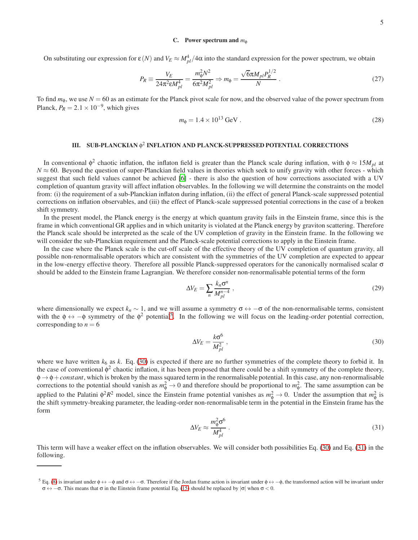### C. Power spectrum and *m*<sub>φ</sub>

On substituting our expression for  $\varepsilon(N)$  and  $V_E \approx M_{pl}^4/4\alpha$  into the standard expression for the power spectrum, we obtain

$$
P_R \equiv \frac{V_E}{24\pi^2 \epsilon M_{pl}^4} = \frac{m_{\phi}^2 N^2}{6\pi^2 M_{pl}^2} \Rightarrow m_{\phi} = \frac{\sqrt{6}\pi M_{pl} P_R^{1/2}}{N} \ . \tag{27}
$$

To find  $m_{\phi}$ , we use  $N = 60$  as an estimate for the Planck pivot scale for now, and the observed value of the power spectrum from Planck,  $P_R = 2.1 \times 10^{-9}$ , which gives

$$
m_{\phi} = 1.4 \times 10^{13} \,\text{GeV} \,. \tag{28}
$$

# III. SUB-PLANCKIAN φ 2 INFLATION AND PLANCK-SUPPRESSED POTENTIAL CORRECTIONS

In conventional  $\phi^2$  chaotic inflation, the inflaton field is greater than the Planck scale during inflation, with  $\phi \approx 15M_{pl}$  at  $N \approx 60$ . Beyond the question of super-Planckian field values in theories which seek to unify gravity with other forces - which suggest that such field values cannot be achieved [\[6](#page-15-5)] - there is also the question of how corrections associated with a UV completion of quantum gravity will affect inflation observables. In the following we will determine the constraints on the model from: (i) the requirement of a sub-Planckian inflaton during inflation, (ii) the effect of general Planck-scale suppressed potential corrections on inflation observables, and (iii) the effect of Planck-scale suppressed potential corrections in the case of a broken shift symmetry.

In the present model, the Planck energy is the energy at which quantum gravity fails in the Einstein frame, since this is the frame in which conventional GR applies and in which unitarity is violated at the Planck energy by graviton scattering. Therefore the Planck scale should be interpreted as the scale of the UV completion of gravity in the Einstein frame. In the following we will consider the sub-Planckian requirement and the Planck-scale potential corrections to apply in the Einstein frame.

In the case where the Planck scale is the cut-off scale of the effective theory of the UV completion of quantum gravity, all possible non-renormalisable operators which are consistent with the symmetries of the UV completion are expected to appear in the low-energy effective theory. Therefore all possible Planck-suppressed operators for the canonically normalised scalar  $\sigma$ should be added to the Einstein frame Lagrangian. We therefore consider non-renormalisable potential terms of the form

$$
\Delta V_E = \sum_n \frac{k_n \sigma^n}{M_{pl}^{n-4}} \,,\tag{29}
$$

where dimensionally we expect  $k_n \sim 1$ , and we will assume a symmetry  $\sigma \leftrightarrow -\sigma$  of the non-renormalisable terms, consistent with the  $\phi \leftrightarrow -\phi$  symmetry of the  $\phi^2$  potential<sup>[5](#page-4-0)</sup>. In the following we will focus on the leading-order potential correction, corresponding to  $n = 6$ 

<span id="page-4-1"></span>
$$
\Delta V_E = \frac{k\sigma^6}{M_{pl}^2} \,,\tag{30}
$$

where we have written  $k_6$  as  $k$ . Eq. [\(30\)](#page-4-1) is expected if there are no further symmetries of the complete theory to forbid it. In the case of conventional  $\phi^2$  chaotic inflation, it has been proposed that there could be a shift symmetry of the complete theory, φ → φ+*constant*, which is broken by the mass squared term in the renormalisable potential. In this case, any non-renormalisable corrections to the potential should vanish as  $m_{\phi}^2 \to 0$  and therefore should be proportional to  $m_{\phi}^2$ . The same assumption can be applied to the Palatini  $\phi^2 R^2$  model, since the Einstein frame potential vanishes as  $m_{\phi}^2 \to 0$ . Under the assumption that  $m_{\phi}^2$  is the shift symmetry-breaking parameter, the leading-order non-renormalisable term in the potential in the Einstein frame has the form

<span id="page-4-2"></span>
$$
\Delta V_E \approx \frac{m_{\phi}^2 \sigma^6}{M_{pl}^4} \tag{31}
$$

This term will have a weaker effect on the inflation observables. We will consider both possibilities Eq. [\(30\)](#page-4-1) and Eq. [\(31\)](#page-4-2) in the following.

<span id="page-4-0"></span><sup>&</sup>lt;sup>5</sup> Eq. [\(8\)](#page-2-2) is invariant under  $\phi \leftrightarrow -\phi$  and  $\sigma \leftrightarrow -\sigma$ . Therefore if the Jordan frame action is invariant under  $\phi \leftrightarrow -\phi$ , the transformed action will be invariant under  $\sigma \leftrightarrow -\sigma$ . This means that  $\sigma$  in the Einstein frame potential Eq. [\(15\)](#page-2-3) should be replaced by  $|\sigma|$  when  $\sigma < 0$ .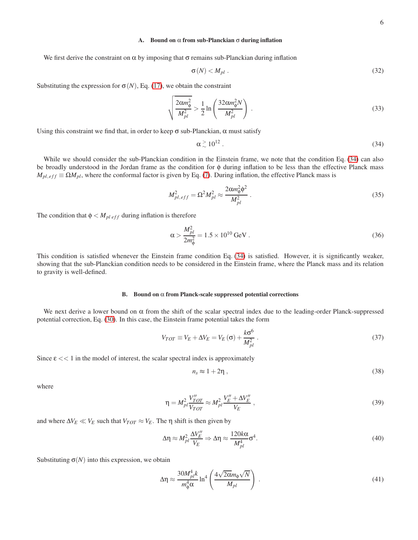# A. Bound on α from sub-Planckian σ during inflation

We first derive the constraint on  $\alpha$  by imposing that  $\sigma$  remains sub-Planckian during inflation

$$
\sigma(N) < M_{pl} \tag{32}
$$

Substituting the expression for  $\sigma(N)$ , Eq. [\(17\)](#page-3-0), we obtain the constraint

$$
\sqrt{\frac{2\alpha m_{\phi}^2}{M_{pl}^2}} > \frac{1}{2} \ln \left( \frac{32\alpha m_{\phi}^2 N}{M_{pl}^2} \right) \,. \tag{33}
$$

Using this constraint we find that, in order to keep  $\sigma$  sub-Planckian,  $\alpha$  must satisfy

<span id="page-5-0"></span>
$$
\alpha \stackrel{>}{\scriptstyle\sim} 10^{12} \ . \tag{34}
$$

While we should consider the sub-Planckian condition in the Einstein frame, we note that the condition Eq. [\(34\)](#page-5-0) can also be broadly understood in the Jordan frame as the condition for φ during inflation to be less than the effective Planck mass  $M_{pl,eff} \equiv \Omega M_{pl}$ , where the conformal factor is given by Eq. [\(7\)](#page-1-2). During inflation, the effective Planck mass is

$$
M_{pl,eff}^2 = \Omega^2 M_{pl}^2 \approx \frac{2\alpha m_{\phi}^2 \phi^2}{M_{pl}^2} \,. \tag{35}
$$

The condition that  $\phi < M_{pl\,eff}$  during inflation is therefore

$$
\alpha > \frac{M_{pl}^2}{2m_{\phi}^2} = 1.5 \times 10^{10} \,\text{GeV} \,. \tag{36}
$$

This condition is satisfied whenever the Einstein frame condition Eq. [\(34\)](#page-5-0) is satisfied. However, it is significantly weaker, showing that the sub-Planckian condition needs to be considered in the Einstein frame, where the Planck mass and its relation to gravity is well-defined.

#### B. Bound on  $\alpha$  from Planck-scale suppressed potential corrections

We next derive a lower bound on  $\alpha$  from the shift of the scalar spectral index due to the leading-order Planck-suppressed potential correction, Eq. [\(30\)](#page-4-1). In this case, the Einstein frame potential takes the form

$$
V_{TOT} \equiv V_E + \Delta V_E = V_E \left(\sigma\right) + \frac{k\sigma^6}{M_{pl}^2} \,. \tag{37}
$$

Since  $\epsilon \ll 1$  in the model of interest, the scalar spectral index is approximately

$$
n_s \approx 1 + 2\eta \tag{38}
$$

where

$$
\eta = M_{pl}^2 \frac{V_{TOT}^{\prime\prime}}{V_{TOT}} \approx M_{pl}^2 \frac{V_E^{\prime\prime} + \Delta V_E^{\prime\prime}}{V_E} \,, \tag{39}
$$

and where  $\Delta V_E \ll V_E$  such that  $V_{TOT} \approx V_E$ . The  $\eta$  shift is then given by

$$
\Delta \eta \approx M_{pl}^2 \frac{\Delta V_E^{\prime\prime}}{V_E} \Rightarrow \Delta \eta \approx \frac{120k\alpha}{M_{pl}^4} \sigma^4. \tag{40}
$$

Substituting  $\sigma(N)$  into this expression, we obtain

<span id="page-5-1"></span>
$$
\Delta \eta \approx \frac{30 M_{pl}^4 k}{m_{\phi}^4 \alpha} \ln^4 \left( \frac{4 \sqrt{2 \alpha} m_{\phi} \sqrt{N}}{M_{pl}} \right) \,. \tag{41}
$$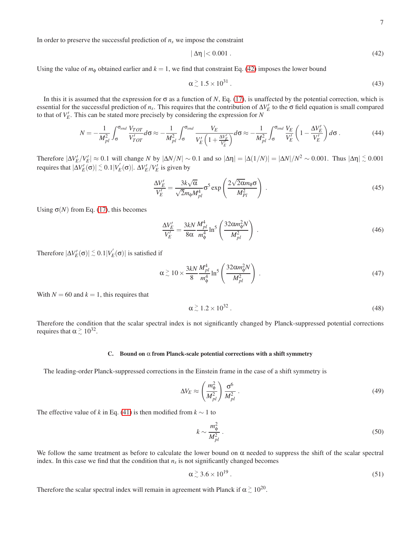In order to preserve the successful prediction of  $n<sub>s</sub>$  we impose the constraint

<span id="page-6-0"></span>
$$
|\Delta \eta| < 0.001 \tag{42}
$$

Using the value of  $m_{\phi}$  obtained earlier and  $k = 1$ , we find that constraint Eq. [\(42\)](#page-6-0) imposes the lower bound

$$
\alpha \stackrel{>}{\sim} 1.5 \times 10^{31} \tag{43}
$$

In this it is assumed that the expression for  $\sigma$  as a function of *N*, Eq. [\(17\)](#page-3-0), is unaffected by the potential correction, which is essential for the successful prediction of  $n_s$ . This requires that the contribution of  $\Delta V_E'$  to the  $\sigma$  field equation is small compared to that of  $V_E'$ . This can be stated more precisely by considering the expression for *N* 

$$
N = -\frac{1}{M_{pl}^2} \int_{\sigma}^{\sigma_{end}} \frac{V_{TOT}}{V'_{TOT}} d\sigma \approx -\frac{1}{M_{pl}^2} \int_{\sigma}^{\sigma_{end}} \frac{V_E}{V'_E \left(1 + \frac{\Delta V'_E}{V'_E}\right)} d\sigma \approx -\frac{1}{M_{pl}^2} \int_{\sigma}^{\sigma_{end}} \frac{V_E}{V'_E} \left(1 - \frac{\Delta V'_E}{V'_E}\right) d\sigma. \tag{44}
$$

Therefore  $|\Delta V_E^{\prime}/V_E^{\prime}| \approx 0.1$  will change *N* by  $|\Delta N/N| \sim 0.1$  and so  $|\Delta \eta| = |\Delta(1/N)| = |\Delta N|/N^2 \sim 0.001$ . Thus  $|\Delta \eta| \lesssim 0.001$ requires that  $|ΔV'_{E}(σ)| ≤ 0.1|V'_{E}(σ)|$ .  $ΔV'_{E}/V'_{E}$  is given by

$$
\frac{\Delta V_E'}{V_E'} = \frac{3k\sqrt{\alpha}}{\sqrt{2}m_{\phi}M_{pl}^4} \sigma^5 \exp\left(\frac{2\sqrt{2\alpha}m_{\phi}\sigma}{M_{Pl}^2}\right).
$$
\n(45)

Using  $\sigma(N)$  from Eq. [\(17\)](#page-3-0), this becomes

$$
\frac{\Delta V_E'}{V_E'} = \frac{3kN}{8\alpha} \frac{M_{pl}^4}{m_{\phi}^4} \ln^5 \left(\frac{32\alpha m_{\phi}^2 N}{M_{pl}^2}\right) \,. \tag{46}
$$

Therefore  $|\Delta V_E'(\sigma)| \lesssim 0.1|V_E'(\sigma)|$  is satisfied if

$$
\alpha \stackrel{>}{\sim} 10 \times \frac{3kN}{8} \frac{M_{pl}^4}{m_{\phi}^4} \ln^5 \left( \frac{32 \alpha m_{\phi}^2 N}{M_{pl}^2} \right) \,. \tag{47}
$$

With  $N = 60$  and  $k = 1$ , this requires that

$$
\alpha \stackrel{>}{\scriptstyle\sim} 1.2 \times 10^{32} \,. \tag{48}
$$

Therefore the condition that the scalar spectral index is not significantly changed by Planck-suppressed potential corrections requires that  $\alpha \stackrel{\text{>}}{\sim} 10^{32}$ .

#### C. Bound on  $\alpha$  from Planck-scale potential corrections with a shift symmetry

The leading-order Planck-suppressed corrections in the Einstein frame in the case of a shift symmetry is

$$
\Delta V_E \approx \left(\frac{m_{\phi}^2}{M_{pl}^2}\right) \frac{\sigma^6}{M_{pl}^2} \,. \tag{49}
$$

The effective value of *k* in Eq. [\(41\)](#page-5-1) is then modified from  $k \sim 1$  to

$$
k \sim \frac{m_{\phi}^2}{M_{pl}^2} \tag{50}
$$

We follow the same treatment as before to calculate the lower bound on  $\alpha$  needed to suppress the shift of the scalar spectral index. In this case we find that the condition that  $n<sub>s</sub>$  is not significantly changed becomes

$$
\alpha \stackrel{>}{_{\sim}} 3.6 \times 10^{19} \,. \tag{51}
$$

Therefore the scalar spectral index will remain in agreement with Planck if  $\alpha \gtrsim 10^{20}$ .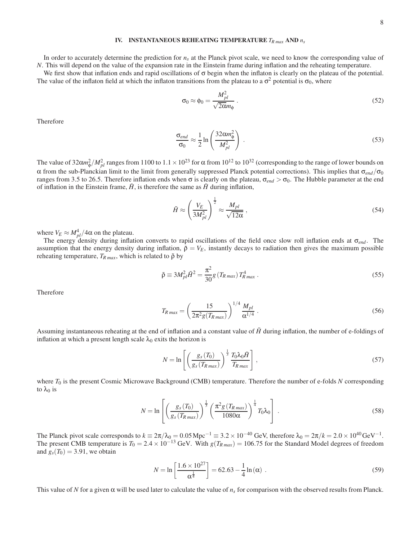# IV. INSTANTANEOUS REHEATING TEMPERATURE *TR max* AND *n<sup>s</sup>*

In order to accurately determine the prediction for *n<sup>s</sup>* at the Planck pivot scale, we need to know the corresponding value of *N*. This will depend on the value of the expansion rate in the Einstein frame during inflation and the reheating temperature.

We first show that inflation ends and rapid oscillations of  $\sigma$  begin when the inflaton is clearly on the plateau of the potential. The value of the inflaton field at which the inflaton transitions from the plateau to a  $\sigma^2$  potential is  $\sigma_0$ , where

$$
\sigma_0 \approx \phi_0 = \frac{M_{pl}^2}{\sqrt{2\alpha}m_\phi} \,. \tag{52}
$$

Therefore

$$
\frac{\sigma_{end}}{\sigma_0} \approx \frac{1}{2} \ln \left( \frac{32 \alpha m_{\phi}^2}{M_{pl}^2} \right) \,. \tag{53}
$$

The value of  $32\alpha m_\phi^2/M_{pl}^2$  ranges from  $1100$  to  $1.1\times10^{23}$  for  $\alpha$  from  $10^{12}$  to  $10^{32}$  (corresponding to the range of lower bounds on α from the sub-Planckian limit to the limit from generally suppressed Planck potential corrections). This implies that σ*end*/σ<sup>0</sup> ranges from 3.5 to 26.5. Therefore inflation ends when σ is clearly on the plateau,  $σ_{end} > σ_0$ . The Hubble parameter at the end of inflation in the Einstein frame,  $\tilde{H}$ , is therefore the same as  $\tilde{H}$  during inflation,

$$
\tilde{H} \approx \left(\frac{V_E}{3M_{pl}^2}\right)^{\frac{1}{2}} \approx \frac{M_{pl}}{\sqrt{12\alpha}}\,,\tag{54}
$$

where  $V_E \approx M_{pl}^4/4\alpha$  on the plateau.

The energy density during inflation converts to rapid oscillations of the field once slow roll inflation ends at σ*end* . The assumption that the energy density during inflation,  $\tilde{p} = V_E$ , instantly decays to radiation then gives the maximum possible reheating temperature,  $T_{R \text{ max}}$ , which is related to  $\tilde{\rho}$  by

$$
\tilde{\rho} \equiv 3M_{pl}^2 \tilde{H}^2 = \frac{\pi^2}{30} g \left( T_{R \max} \right) T_{R \max}^4 \,. \tag{55}
$$

Therefore

$$
T_{R\max} = \left(\frac{15}{2\pi^2 g(T_{R\max})}\right)^{1/4} \frac{M_{pl}}{\alpha^{1/4}}.
$$
 (56)

Assuming instantaneous reheating at the end of inflation and a constant value of  $\tilde{H}$  during inflation, the number of e-foldings of inflation at which a present length scale  $\lambda_0$  exits the horizon is

$$
N = \ln \left[ \left( \frac{g_s(T_0)}{g_s(T_{R\max})} \right)^{\frac{1}{3}} \frac{T_0 \lambda_0 \tilde{H}}{T_{R\max}} \right],
$$
\n(57)

where  $T_0$  is the present Cosmic Microwave Background (CMB) temperature. Therefore the number of e-folds *N* corresponding to  $\lambda_0$  is

$$
N = \ln\left[\left(\frac{g_s(T_0)}{g_s(T_{R\max})}\right)^{\frac{1}{3}} \left(\frac{\pi^2 g(T_{R\max})}{1080\alpha}\right)^{\frac{1}{4}} T_0 \lambda_0\right].
$$
 (58)

The Planck pivot scale corresponds to  $k = 2\pi/\lambda_0 = 0.05 \text{ Mpc}^{-1} = 3.2 \times 10^{-40} \text{ GeV}$ , therefore  $\lambda_0 = 2\pi/k = 2.0 \times 10^{40} \text{ GeV}^{-1}$ . The present CMB temperature is  $T_0 = 2.4 \times 10^{-13}$  GeV. With  $g(T_{R \text{ max}}) = 106.75$  for the Standard Model degrees of freedom and  $g_s(T_0) = 3.91$ , we obtain

$$
N = \ln \left[ \frac{1.6 \times 10^{27}}{\alpha^{\frac{1}{4}}} \right] = 62.63 - \frac{1}{4} \ln(\alpha) \tag{59}
$$

This value of *N* for a given  $\alpha$  will be used later to calculate the value of  $n_s$  for comparison with the observed results from Planck.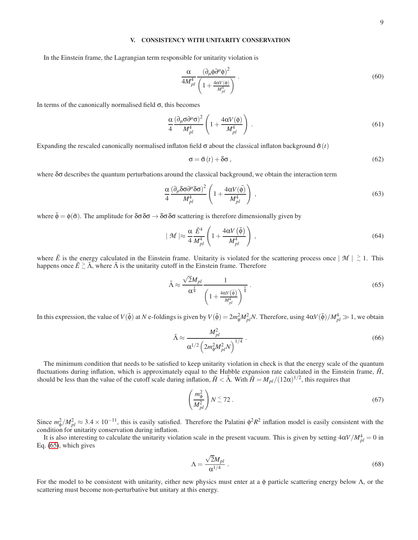## V. CONSISTENCY WITH UNITARITY CONSERVATION

In the Einstein frame, the Lagrangian term responsible for unitarity violation is

$$
\frac{\alpha}{4M_{pl}^4} \frac{(\partial_\mu \phi \partial^\mu \phi)^2}{\left(1 + \frac{4\alpha V(\phi)}{M_{pl}^4}\right)}\tag{60}
$$

In terms of the canonically normalised field σ, this becomes

$$
\frac{\alpha}{4} \frac{(\partial_{\mu}\sigma \partial^{\mu}\sigma)^{2}}{M_{pl}^{4}} \left(1 + \frac{4\alpha V(\phi)}{M_{pl}^{4}}\right) \,. \tag{61}
$$

Expanding the rescaled canonically normalised inflaton field  $\sigma$  about the classical inflaton background  $\bar{\sigma}(t)$ 

$$
\sigma = \bar{\sigma}(t) + \delta\sigma \,,\tag{62}
$$

where  $\delta\sigma$  describes the quantum perturbations around the classical background, we obtain the interaction term

$$
\frac{\alpha}{4} \frac{(\partial_{\mu} \delta \sigma \partial^{\mu} \delta \sigma)^{2}}{M_{pl}^{4}} \left(1 + \frac{4\alpha V(\bar{\phi})}{M_{pl}^{4}}\right) ,
$$
\n(63)

where  $\bar{\phi} = \phi(\bar{\sigma})$ . The amplitude for  $\delta\sigma \delta\sigma \rightarrow \delta\sigma \delta\sigma$  scattering is therefore dimensionally given by

$$
|\mathcal{M}| \approx \frac{\alpha}{4} \frac{\tilde{E}^4}{M_{pl}^4} \left( 1 + \frac{4\alpha V(\bar{\phi})}{M_{pl}^4} \right) ,
$$
 (64)

where  $\tilde{E}$  is the energy calculated in the Einstein frame. Unitarity is violated for the scattering process once  $|\mathcal{M}| \gtrsim 1$ . This happens once  $\tilde{E} \gtrsim \tilde{\Lambda}$ , where  $\tilde{\Lambda}$  is the unitarity cutoff in the Einstein frame. Therefore

<span id="page-8-0"></span>
$$
\tilde{\Lambda} \approx \frac{\sqrt{2}M_{pl}}{\alpha^{\frac{1}{4}}} \frac{1}{\left(1 + \frac{4\alpha V(\tilde{\phi})}{M_{pl}^4}\right)^{\frac{1}{4}}} \,. \tag{65}
$$

In this expression, the value of  $V(\bar{\phi})$  at *N* e-foldings is given by  $V(\bar{\phi}) = 2m_{\phi}^2 M_{pl}^2 N$ . Therefore, using  $4\alpha V(\bar{\phi})/M_{pl}^4 \gg 1$ , we obtain

$$
\tilde{\Lambda} \approx \frac{M_{pl}^2}{\alpha^{1/2} \left(2m_{\phi}^2 M_{pl}^2 N\right)^{1/4}}\,. \tag{66}
$$

The minimum condition that needs to be satisfied to keep unitarity violation in check is that the energy scale of the quantum fluctuations during inflation, which is approximately equal to the Hubble expansion rate calculated in the Einstein frame,  $\hat{H}$ , should be less than the value of the cutoff scale during inflation,  $\tilde{H} < \tilde{\Lambda}$ . With  $\tilde{H} = M_{pl}/(12\alpha)^{1/2}$ , this requires that

$$
\left(\frac{m_{\phi}^2}{M_{pl}^2}\right) N \stackrel{\scriptstyle <}{\phantom{}_{\sim}} 72\ .
$$
\n(67)

Since  $m_{\phi}^2 / M_{pl}^2 \approx 3.4 \times 10^{-11}$ , this is easily satisfied. Therefore the Palatini  $\phi^2 R^2$  inflation model is easily consistent with the condition for unitarity conservation during inflation.

It is also interesting to calculate the unitarity violation scale in the present vacuum. This is given by setting  $4\alpha V/M_{pl}^4 = 0$  in Eq. [\(65\)](#page-8-0), which gives

$$
\Lambda = \frac{\sqrt{2}M_{pl}}{\alpha^{1/4}}\,. \tag{68}
$$

For the model to be consistent with unitarity, either new physics must enter at a φ particle scattering energy below  $\Lambda$ , or the scattering must become non-perturbative but unitary at this energy.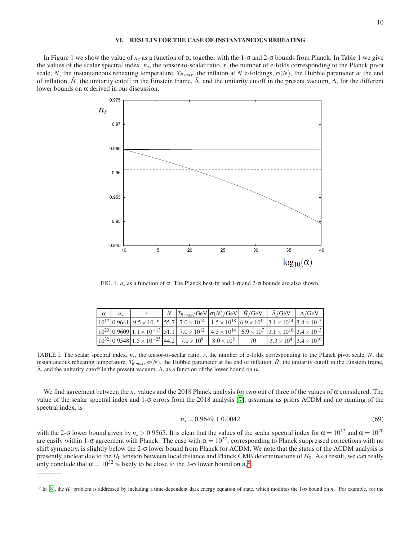# VI. RESULTS FOR THE CASE OF INSTANTANEOUS REHEATING

In Figure 1 we show the value of *n<sub>s</sub>* as a function of α, together with the 1-σ and 2-σ bounds from Planck. In Table 1 we give the values of the scalar spectral index,  $n_s$ , the tensor-to-scalar ratio, r, the number of e-folds corresponding to the Planck pivot scale, *N*, the instantaneous reheating temperature,  $T_{R \text{ max}}$ , the inflaton at *N* e-foldings,  $\sigma(N)$ , the Hubble parameter at the end of inflation,  $\hat{H}$ , the unitarity cutoff in the Einstein frame,  $\hat{\Lambda}$ , and the unitarity cutoff in the present vacuum,  $\Lambda$ , for the different lower bounds on α derived in our discussion.



FIG. 1.  $n_s$  as a function of α. The Planck best-fit and 1-σ and 2-σ bounds are also shown.

| $\alpha$ |  | $N  T_{R max}/{\rm GeV} \sigma(N)/{\rm GeV} $ $\tilde{H}/{\rm GeV}$ $\tilde{A}/{\rm GeV}$ $\tilde{A}/{\rm GeV}$                                                                      |    |                                        |  |
|----------|--|--------------------------------------------------------------------------------------------------------------------------------------------------------------------------------------|----|----------------------------------------|--|
|          |  | $10^{12}$ 0.9641 9.5 × 10 <sup>-6</sup> 55.7 7.0 × 10 <sup>14</sup> 1.5 × 10 <sup>18</sup> 6.9 × 10 <sup>11</sup> 3.1 × 10 <sup>14</sup> 3.4 × 10 <sup>15</sup>                      |    |                                        |  |
|          |  | $\left[10^{20}\right]0.9609\left[1.1\times10^{-13}\right]51.1\left[7.0\times10^{12}\right]4.3\times10^{14}\left[6.9\times10^{7}\right]3.1\times10^{10}\left[3.4\times10^{13}\right]$ |    |                                        |  |
|          |  | $\left[10^{32}\right]0.9548\left[1.5\times10^{-25}\right]44.2\left[7.0\times10^{9}\right]8.0\times10^{8}$                                                                            | 70 | $3.3 \times 10^4$ 3.4 $\times 10^{10}$ |  |

TABLE I. The scalar spectral index, *ns*, the tensor-to-scalar ratio, *r*, the number of e-folds corresponding to the Planck pivot scale, *N*, the instantaneous reheating temperature,  $T_{R max}$ ,  $\sigma(N)$ , the Hubble parameter at the end of inflation,  $\hat{H}$ , the unitarity cutoff in the Einstein frame,  $\tilde{\Lambda}$ , and the unitarity cutoff in the present vacuum,  $\Lambda$ , as a function of the lower bound on  $\alpha$ .

We find agreement between the  $n_s$  values and the 2018 Planck analysis for two out of three of the values of  $\alpha$  considered. The value of the scalar spectral index and 1-σ errors from the 2018 analysis [\[7\]](#page-15-6), assuming as priors ΛCDM and no running of the spectral index, is

$$
n_s = 0.9649 \pm 0.0042 \tag{69}
$$

with the 2- $\sigma$  lower bound given by  $n_s > 0.9565$ . It is clear that the values of the scalar spectral index for  $\alpha = 10^{12}$  and  $\alpha = 10^{20}$ are easily within 1-σ agreement with Planck. The case with  $\alpha = 10^{32}$ , corresponding to Planck suppressed corrections with no shift symmetry, is slightly below the 2-σ lower bound from Planck for ΛCDM. We note that the status of the ΛCDM analysis is presently unclear due to the *H*<sup>0</sup> tension between local distance and Planck CMB determinations of *H*0. As a result, we can really only conclude that  $\alpha = 10^{32}$  is likely to be close to the 2- $\sigma$  lower bound on  $n_s^6$  $n_s^6$ .

<span id="page-9-0"></span><sup>6</sup> In [\[8](#page-15-7)], the *H*<sup>0</sup> problem is addressed by including a time-dependent dark energy equation of state, which modifies the 1-σ bound on *n<sup>s</sup>* . For example, for the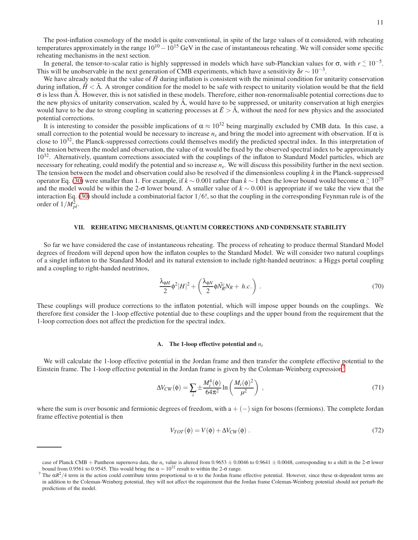The post-inflation cosmology of the model is quite conventional, in spite of the large values of  $\alpha$  considered, with reheating temperatures approximately in the range  $10^{10} - 10^{15}$  GeV in the case of instantaneous reheating. We will consider some specific reheating mechanisms in the next section.

In general, the tensor-to-scalar ratio is highly suppressed in models which have sub-Planckian values for  $\sigma$ , with  $r \lesssim 10^{-5}$ . This will be unobservable in the next generation of CMB experiments, which have a sensitivity  $\delta r \sim 10^{-3}$ .

We have already noted that the value of  $\tilde{H}$  during inflation is consistent with the minimal condition for unitarity conservation during inflation,  $\tilde{H} < \tilde{\Lambda}$ . A stronger condition for the model to be safe with respect to unitarity violation would be that the field  $\sigma$  is less than  $\Lambda$ . However, this is not satisfied in these models. Therefore, either non-renormalisable potential corrections due to the new physics of unitarity conservation, scaled by  $\tilde{\Lambda}$ , would have to be suppressed, or unitarity conservation at high energies would have to be due to strong coupling in scattering processes at  $\tilde{E} > \tilde{\Lambda}$ , without the need for new physics and the associated potential corrections.

It is interesting to consider the possible implications of  $\alpha \approx 10^{32}$  being marginally excluded by CMB data. In this case, a small correction to the potential would be necessary to increase  $n_s$  and bring the model into agreement with observation. If  $\alpha$  is close to  $10^{32}$ , the Planck-suppressed corrections could themselves modify the predicted spectral index. In this interpretation of the tension between the model and observation, the value of  $\alpha$  would be fixed by the observed spectral index to be approximately  $10^{32}$ . Alternatively, quantum corrections associated with the couplings of the inflaton to Standard Model particles, which are necessary for reheating, could modify the potential and so increase *n<sup>s</sup>* . We will discuss this possibility further in the next section. The tension between the model and observation could also be resolved if the dimensionless coupling *k* in the Planck-suppressed operator Eq. [\(30\)](#page-4-1) were smaller than 1. For example, if  $k \sim 0.001$  rather than  $k \sim 1$  then the lower bound would become  $\alpha \gtrsim 10^{29}$ and the model would be within the 2-σ lower bound. A smaller value of *k* ∼ 0.001 is appropriate if we take the view that the interaction Eq. [\(30\)](#page-4-1) should include a combinatorial factor 1/6!, so that the coupling in the corresponding Feynman rule is of the order of  $1/M_{pl}^2$ .

### VII. REHEATING MECHANISMS, QUANTUM CORRECTIONS AND CONDENSATE STABILITY

So far we have considered the case of instantaneous reheating. The process of reheating to produce thermal Standard Model degrees of freedom will depend upon how the inflaton couples to the Standard Model. We will consider two natural couplings of a singlet inflaton to the Standard Model and its natural extension to include right-handed neutrinos: a Higgs portal coupling and a coupling to right-handed neutrinos,

$$
\frac{\lambda_{\phi H}}{2} \phi^2 |H|^2 + \left( \frac{\lambda_{\phi N}}{2} \phi \bar{N}_R^c N_R + h.c. \right) \,. \tag{70}
$$

These couplings will produce corrections to the inflaton potential, which will impose upper bounds on the couplings. We therefore first consider the 1-loop effective potential due to these couplings and the upper bound from the requirement that the 1-loop correction does not affect the prediction for the spectral index.

# A. The 1-loop effective potential and *ns*

We will calculate the 1-loop effective potential in the Jordan frame and then transfer the complete effective potential to the Einstein frame. The 1-loop effective potential in the Jordan frame is given by the Coleman-Weinberg expression[7](#page-10-0)

$$
\Delta V_{CW}(\phi) = \sum_{i} \pm \frac{M_i^4(\phi)}{64\pi^2} \ln \left( \frac{M_i(\phi)^2}{\mu^2} \right) , \qquad (71)
$$

where the sum is over bosonic and fermionic degrees of freedom, with  $a + (-)$  sign for bosons (fermions). The complete Jordan frame effective potential is then

$$
V_{TOT}(\phi) = V(\phi) + \Delta V_{CW}(\phi) \tag{72}
$$

case of Planck CMB + Pantheon supernova data, the  $n_s$  value is altered from 0.9653  $\pm$  0.0046 to 0.9641  $\pm$  0.0048, corresponding to a shift in the 2-σ lower bound from 0.9561 to 0.9545. This would bring the  $\alpha = 10^{32}$  result to within the 2- $\sigma$  range.

<span id="page-10-0"></span><sup>&</sup>lt;sup>7</sup> The  $\alpha R^2/4$  term in the action could contribute terms proportional to  $\alpha$  to the Jordan frame effective potential. However, since these  $\alpha$ -dependent terms are in addition to the Coleman-Weinberg potential, they will not affect the requirement that the Jordan frame Coleman-Weinberg potential should not perturb the predictions of the model.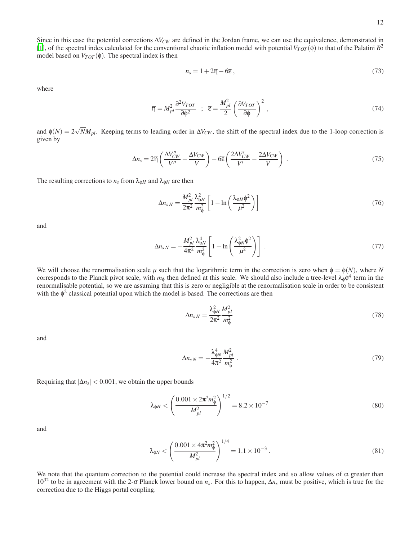Since in this case the potential corrections ∆*VCW* are defined in the Jordan frame, we can use the equivalence, demonstrated in [\[1](#page-15-0)], of the spectral index calculated for the conventional chaotic inflation model with potential  $V_{TOT}(\phi)$  to that of the Palatini  $R^2$ model based on  $V_{TOT}(\phi)$ . The spectral index is then

$$
n_s = 1 + 2\overline{\eta} - 6\overline{\varepsilon} \,,\tag{73}
$$

where

$$
\overline{\eta} = M_{pl}^2 \frac{\partial^2 V_{TOT}}{\partial \phi^2} \quad ; \quad \overline{\epsilon} = \frac{M_{pl}^2}{2} \left( \frac{\partial V_{TOT}}{\partial \phi} \right)^2 \,, \tag{74}
$$

and  $\phi(N) = 2\sqrt{N}M_{pl}$ . Keeping terms to leading order in  $\Delta V_{CW}$ , the shift of the spectral index due to the 1-loop correction is given by

$$
\Delta n_s = 2\overline{\eta} \left( \frac{\Delta V_{CW}''}{V''} - \frac{\Delta V_{CW}}{V} \right) - 6\overline{\epsilon} \left( \frac{2\Delta V_{CW}'}{V'} - \frac{2\Delta V_{CW}}{V} \right) \,. \tag{75}
$$

The resulting corrections to  $n_s$  from  $\lambda_{\phi H}$  and  $\lambda_{\phi N}$  are then

$$
\Delta n_{sH} = \frac{M_{pl}^2}{2\pi^2} \frac{\lambda_{\phi H}^2}{m_{\phi}^2} \left[ 1 - \ln \left( \frac{\lambda_{\phi H} \phi^2}{\mu^2} \right) \right]
$$
(76)

and

$$
\Delta n_{sN} = -\frac{M_{pl}^2}{4\pi^2} \frac{\lambda_{\phi N}^4}{m_{\phi}^2} \left[ 1 - \ln \left( \frac{\lambda_{\phi N}^2 \phi^2}{\mu^2} \right) \right] \,. \tag{77}
$$

We will choose the renormalisation scale  $\mu$  such that the logarithmic term in the correction is zero when  $\phi = \phi(N)$ , where *N* corresponds to the Planck pivot scale, with  $m_{\phi}$  then defined at this scale. We should also include a tree-level  $\lambda_{\phi}\phi^4$  term in the renormalisable potential, so we are assuming that this is zero or negligible at the renormalisation scale in order to be consistent with the  $\phi^2$  classical potential upon which the model is based. The corrections are then

$$
\Delta n_{sH} = \frac{\lambda_{\phi H}^2}{2\pi^2} \frac{M_{pl}^2}{m_{\phi}^2} \tag{78}
$$

and

$$
\Delta n_{sN} = -\frac{\lambda_{\phi N}^4}{4\pi^2} \frac{M_{pl}^2}{m_{\phi}^2} \tag{79}
$$

Requiring that  $|\Delta n_s| < 0.001$ , we obtain the upper bounds

$$
\lambda_{\phi H} < \left(\frac{0.001 \times 2\pi^2 m_{\phi}^2}{M_{pl}^2}\right)^{1/2} = 8.2 \times 10^{-7} \tag{80}
$$

and

$$
\lambda_{\phi N} < \left(\frac{0.001 \times 4\pi^2 m_{\phi}^2}{M_{pl}^2}\right)^{1/4} = 1.1 \times 10^{-3} \tag{81}
$$

We note that the quantum correction to the potential could increase the spectral index and so allow values of  $\alpha$  greater than 10<sup>32</sup> to be in agreement with the 2-σ Planck lower bound on *n<sup>s</sup>* . For this to happen, ∆*n<sup>s</sup>* must be positive, which is true for the correction due to the Higgs portal coupling.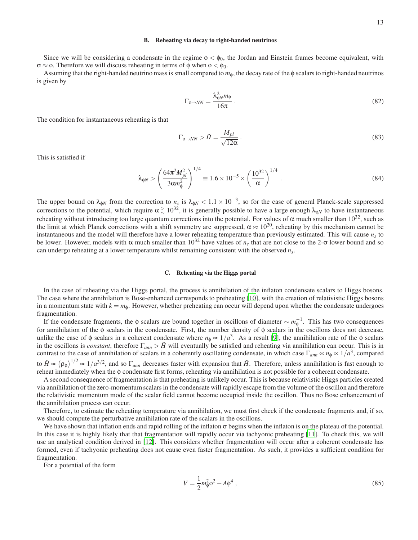### B. Reheating via decay to right-handed neutrinos

Since we will be considering a condensate in the regime  $\phi < \phi_0$ , the Jordan and Einstein frames become equivalent, with  $\sigma \approx \phi$ . Therefore we will discuss reheating in terms of φ when  $\phi < \phi_0$ .

Assuming that the right-handed neutrino mass is small compared to *m*φ, the decay rate of the φ scalars to right-handed neutrinos is given by

$$
\Gamma_{\phi \to NN} = \frac{\lambda_{\phi N}^2 m_{\phi}}{16\pi} \,. \tag{82}
$$

The condition for instantaneous reheating is that

$$
\Gamma_{\phi \to NN} > \tilde{H} = \frac{M_{pl}}{\sqrt{12\alpha}} \,. \tag{83}
$$

This is satisfied if

$$
\lambda_{\phi N} > \left(\frac{64\pi^2 M_{pl}^2}{3\alpha m_{\phi}^2}\right)^{1/4} \equiv 1.6 \times 10^{-5} \times \left(\frac{10^{32}}{\alpha}\right)^{1/4}.
$$
\n(84)

The upper bound on  $\lambda_{\phi N}$  from the correction to  $n_s$  is  $\lambda_{\phi N} < 1.1 \times 10^{-3}$ , so for the case of general Planck-scale suppressed corrections to the potential, which require  $\alpha \gtrsim 10^{32}$ , it is generally possible to have a large enough  $\lambda_{\phi N}$  to have instantaneous reheating without introducing too large quantum corrections into the potential. For values of α much smaller than  $10^{32}$ , such as the limit at which Planck corrections with a shift symmetry are suppressed,  $\alpha \approx 10^{20}$ , reheating by this mechanism cannot be instantaneous and the model will therefore have a lower reheating temperature than previously estimated. This will cause  $n<sub>s</sub>$  to be lower. However, models with  $\alpha$  much smaller than  $10^{32}$  have values of  $n_s$  that are not close to the 2- $\sigma$  lower bound and so can undergo reheating at a lower temperature whilst remaining consistent with the observed *n<sup>s</sup>* .

### C. Reheating via the Higgs portal

In the case of reheating via the Higgs portal, the process is annihilation of the inflaton condensate scalars to Higgs bosons. The case where the annihilation is Bose-enhanced corresponds to preheating [\[10\]](#page-15-8), with the creation of relativistic Higgs bosons in a momentum state with  $k = m_{\phi}$ . However, whether preheating can occur will depend upon whether the condensate undergoes fragmentation.

If the condensate fragments, the  $\phi$  scalars are bound together in oscillons of diameter  $\sim m_{\phi}^{-1}$ . This has two consequences for annihilation of the  $\phi$  scalars in the condensate. First, the number density of  $\phi$  scalars in the oscillons does not decrease, unlike the case of  $\phi$  scalars in a coherent condensate where  $n_{\phi} \propto 1/a^3$ . As a result [\[9](#page-15-9)], the annihilation rate of the  $\phi$  scalars in the oscillons is *constant*, therefore  $\Gamma_{ann} > \tilde{H}$  will eventually be satisfied and reheating via annihilation can occur. This is in contrast to the case of annihilation of scalars in a coherently oscillating condensate, in which case  $\Gamma_{ann} \propto n_\phi \propto 1/a^3$ , compared to  $\tilde{H} \propto (\rho_{\phi})^{1/2} \propto 1/a^{3/2}$ , and so  $\Gamma_{ann}$  decreases faster with expansion that  $\tilde{H}$ . Therefore, unless annihilation is fast enough to reheat immediately when the φ condensate first forms, reheating via annihilation is not possible for a coherent condensate.

A second consequence of fragmentation is that preheating is unlikely occur. This is because relativistic Higgs particles created via annihilation of the zero-momentum scalars in the condensate will rapidly escape from the volume of the oscillon and therefore the relativistic momentum mode of the scalar field cannot become occupied inside the oscillon. Thus no Bose enhancement of the annihilation process can occur.

Therefore, to estimate the reheating temperature via annihilation, we must first check if the condensate fragments and, if so, we should compute the perturbative annihilation rate of the scalars in the oscillons.

We have shown that inflation ends and rapid rolling of the inflaton  $\sigma$  begins when the inflaton is on the plateau of the potential. In this case it is highly likely that that fragmentation will rapidly occur via tachyonic preheating [\[11\]](#page-15-10). To check this, we will use an analytical condition derived in [\[12](#page-15-11)]. This considers whether fragmentation will occur after a coherent condensate has formed, even if tachyonic preheating does not cause even faster fragmentation. As such, it provides a sufficient condition for fragmentation.

For a potential of the form

$$
V = \frac{1}{2}m_{\phi}^{2}\phi^{2} - A\phi^{4} , \qquad (85)
$$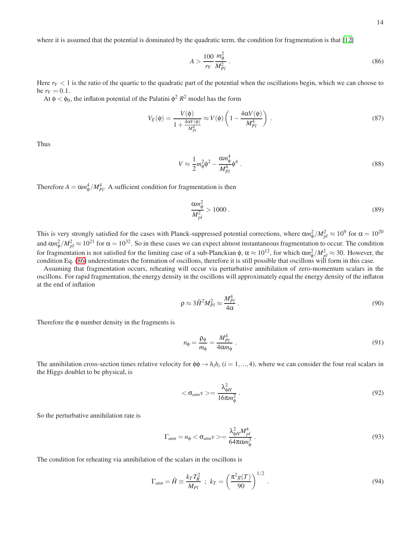where it is assumed that the potential is dominated by the quadratic term, the condition for fragmentation is that [\[12](#page-15-11)]

<span id="page-13-0"></span>
$$
A > \frac{100}{r_V} \frac{m_{\phi}^2}{M_{Pl}^2} \,. \tag{86}
$$

Here  $r<sub>V</sub> < 1$  is the ratio of the quartic to the quadratic part of the potential when the oscillations begin, which we can choose to  $be$   $r_V = 0.1$ .

At  $\phi < \phi_0$ , the inflaton potential of the Palatini  $\phi^2 R^2$  model has the form

$$
V_E(\phi) = \frac{V(\phi)}{1 + \frac{4\alpha V(\phi)}{M_{Pl}^4}} \approx V(\phi) \left(1 - \frac{4\alpha V(\phi)}{M_{Pl}^4}\right) \,. \tag{87}
$$

Thus

$$
V \approx \frac{1}{2}m_{\phi}^2 \phi^2 - \frac{\alpha m_{\phi}^4}{M_{Pl}^4} \phi^4 \tag{88}
$$

Therefore  $A = \alpha m_{\phi}^4 / M_{Pl}^4$ . A sufficient condition for fragmentation is then

$$
\frac{\alpha m_{\phi}^2}{M_{pl}^2} > 1000\,. \tag{89}
$$

This is very strongly satisfied for the cases with Planck-suppressed potential corrections, where  $\alpha m_{\phi}^2/M_{pl}^2 \approx 10^9$  for  $\alpha = 10^{20}$ and  $\alpha m_{\phi}^2/M_{pl}^2 \approx 10^{21}$  for  $\alpha = 10^{32}$ . So in these cases we can expect almost instantaneous fragmentation to occur. The condition for fragmentation is not satisfied for the limiting case of a sub-Planckian  $\phi$ ,  $\alpha \approx 10^{12}$ , for which  $\alpha m_{\phi}^2/M_{pl}^2 \approx 30$ . However, the condition Eq. [\(86\)](#page-13-0) underestimates the formation of oscillons, therefore it is still possible that oscillons will form in this case.

Assuming that fragmentation occurs, reheating will occur via perturbative annihilation of zero-momentum scalars in the oscillons. For rapid fragmentation, the energy density in the oscillons will approximately equal the energy density of the inflaton at the end of inflation

$$
\rho \approx 3\tilde{H}^2 M_{Pl}^2 \approx \frac{M_{Pl}^4}{4\alpha} \,. \tag{90}
$$

Therefore the  $\phi$  number density in the fragments is

$$
n_{\phi} = \frac{\rho_{\phi}}{m_{\phi}} = \frac{M_{Pl}^4}{4\alpha m_{\phi}} \tag{91}
$$

The annihilation cross-section times relative velocity for  $\phi \phi \rightarrow h_i h_i$  (*i* = 1,..., 4), where we can consider the four real scalars in the Higgs doublet to be physical, is

$$
\langle \sigma_{ann} \nu \rangle = \frac{\lambda_{\phi H}^2}{16\pi m_\phi^2} \,. \tag{92}
$$

So the perturbative annihilation rate is

$$
\Gamma_{ann} = n_{\phi} < \sigma_{ann} \nu > = \frac{\lambda_{\phi H}^2 M_{pl}^4}{64 \pi \alpha m_{\phi}^3} \,. \tag{93}
$$

The condition for reheating via annihilation of the scalars in the oscillons is

$$
\Gamma_{ann} = \tilde{H} \equiv \frac{k_T T_R^2}{M_{Pl}} \; ; \; k_T = \left(\frac{\pi^2 g(T)}{90}\right)^{1/2} \,. \tag{94}
$$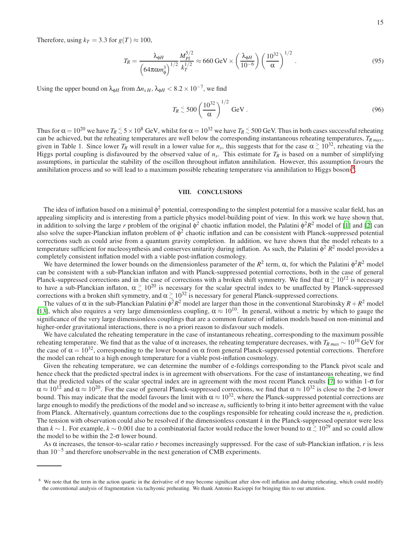Therefore, using  $k_T = 3.3$  for  $g(T) \approx 100$ ,

$$
T_R = \frac{\lambda_{\phi H}}{\left(64\pi\alpha m_{\phi}^3\right)^{1/2}} \frac{M_{Pl}^{5/2}}{k_T^{1/2}} \approx 660 \text{ GeV} \times \left(\frac{\lambda_{\phi H}}{10^{-6}}\right) \left(\frac{10^{32}}{\alpha}\right)^{1/2} . \tag{95}
$$

Using the upper bound on  $\lambda_{\phi H}$  from  $\Delta n_{sH}$ ,  $\lambda_{\phi H}$  < 8.2 × 10<sup>-7</sup>, we find

$$
T_R \stackrel{<}{\sim} 500 \left(\frac{10^{32}}{\alpha}\right)^{1/2} \text{GeV} \,. \tag{96}
$$

Thus for  $\alpha = 10^{20}$  we have  $T_R \le 5 \times 10^8$  GeV, whilst for  $\alpha = 10^{32}$  we have  $T_R \le 500$  GeV. Thus in both cases successful reheating can be achieved, but the reheating temperatures are well below the corresponding instantaneous reheating temperatures, *TR max*, given in Table 1. Since lower *T<sub>R</sub>* will result in a lower value for *n<sub>s</sub>*, this suggests that for the case  $\alpha \gtrsim 10^{32}$ , reheating via the Higgs portal coupling is disfavoured by the observed value of  $n_s$ . This estimate for  $T_R$  is based on a number of simplifying assumptions, in particular the stability of the oscillon throughout inflaton annihilation. However, this assumption favours the annihilation process and so will lead to a maximum possible reheating temperature via annihilation to Higgs bosons<sup>[8](#page-14-0)</sup>.

# VIII. CONCLUSIONS

The idea of inflation based on a minimal  $\phi^2$  potential, corresponding to the simplest potential for a massive scalar field, has an appealing simplicity and is interesting from a particle physics model-building point of view. In this work we have shown that, in addition to solving the large *r* problem of the original  $\phi^2$  chaotic inflation model, the Palatini  $\phi^2 R^2$  model of [\[1\]](#page-15-0) and [\[2](#page-15-1)] can also solve the super-Planckian inflaton problem of  $\phi^2$  chaotic inflation and can be consistent with Planck-suppressed potential corrections such as could arise from a quantum gravity completion. In addition, we have shown that the model reheats to a temperature sufficient for nucleosynthesis and conserves unitarity during inflation. As such, the Palatini  $\phi^2 R^2$  model provides a completely consistent inflation model with a viable post-inflation cosmology.

We have determined the lower bounds on the dimensionless parameter of the  $R^2$  term,  $\alpha$ , for which the Palatini  $\phi^2 R^2$  model can be consistent with a sub-Planckian inflaton and with Planck-suppressed potential corrections, both in the case of general Planck-suppressed corrections and in the case of corrections with a broken shift symmetry. We find that  $\alpha \gtrsim 10^{12}$  is necessary to have a sub-Planckian inflaton,  $\alpha \gtrsim 10^{20}$  is necessary for the scalar spectral index to be unaffected by Planck-suppressed corrections with a broken shift symmetry, and  $\alpha \gtrsim 10^{32}$  is necessary for general Planck-suppressed corrections.

The values of  $\alpha$  in the sub-Planckian Palatini  $\phi^2 R^2$  model are larger than those in the conventional Starobinsky  $R + R^2$  model [\[13](#page-15-12)], which also requires a very large dimensionless coupling,  $\alpha \approx 10^{10}$ . In general, without a metric by which to gauge the significance of the very large dimensionless couplings that are a common feature of inflation models based on non-minimal and higher-order gravitational interactions, there is no a priori reason to disfavour such models.

We have calculated the reheating temperature in the case of instantaneous reheating, corresponding to the maximum possible reheating temperature. We find that as the value of α increases, the reheating temperature decreases, with  $T_{R max} \sim 10^{10}$  GeV for the case of  $\alpha = 10^{32}$ , corresponding to the lower bound on  $\alpha$  from general Planck-suppressed potential corrections. Therefore the model can reheat to a high enough temperature for a viable post-inflation cosmology.

Given the reheating temperature, we can determine the number of e-foldings corresponding to the Planck pivot scale and hence check that the predicted spectral index is in agreement with observations. For the case of instantaneous reheating, we find that the predicted values of the scalar spectral index are in agreement with the most recent Planck results [\[7](#page-15-6)] to within 1-σ for  $\alpha \approx 10^{12}$  and  $\alpha \approx 10^{20}$ . For the case of general Planck-suppressed corrections, we find that  $\alpha \approx 10^{32}$  is close to the 2- $\sigma$  lower bound. This may indicate that the model favours the limit with  $\alpha \approx 10^{32}$ , where the Planck-suppressed potential corrections are large enough to modify the predictions of the model and so increase  $n<sub>s</sub>$  sufficiently to bring it into better agreement with the value from Planck. Alternatively, quantum corrections due to the couplings responsible for reheating could increase the *n<sup>s</sup>* prediction. The tension with observation could also be resolved if the dimensionless constant *k* in the Planck-suppressed operator were less than  $k \sim 1$ . For example,  $k \sim 0.001$  due to a combinatorial factor would reduce the lower bound to  $\alpha \gtrsim 10^{29}$  and so could allow the model to be within the  $2-\sigma$  lower bound.

As α increases, the tensor-to-scalar ratio *r* becomes increasingly suppressed. For the case of sub-Planckian inflation, *r* is less than 10−<sup>5</sup> and therefore unobservable in the next generation of CMB experiments.

<span id="page-14-0"></span><sup>&</sup>lt;sup>8</sup> We note that the term in the action quartic in the derivative of  $\sigma$  may become significant after slow-roll inflation and during reheating, which could modify the conventional analysis of fragmentation via tachyonic preheating. We thank Antonio Racioppi for bringing this to our attention.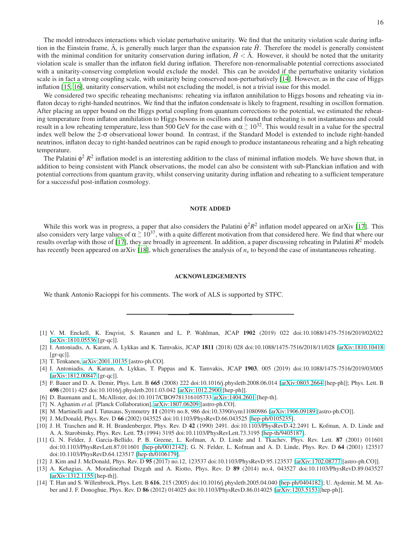The model introduces interactions which violate perturbative unitarity. We find that the unitarity violation scale during inflation in the Einstein frame,  $\tilde{\Lambda}$ , is generally much larger than the expansion rate  $\tilde{H}$ . Therefore the model is generally consistent with the minimal condition for unitarity conservation during inflation,  $\hat{H} < \hat{\Lambda}$ . However, it should be noted that the unitarity violation scale is smaller than the inflaton field during inflation. Therefore non-renormalisable potential corrections associated with a unitarity-conserving completion would exclude the model. This can be avoided if the perturbative unitarity violation scale is in fact a strong coupling scale, with unitarity being conserved non-perturbatively [\[14\]](#page-15-13). However, as in the case of Higgs inflation [\[15,](#page-16-0) [16\]](#page-16-1), unitarity conservation, whilst not excluding the model, is not a trivial issue for this model.

We considered two specific reheating mechanisms: reheating via inflaton annihilation to Higgs bosons and reheating via inflaton decay to right-handed neutrinos. We find that the inflaton condensate is likely to fragment, resulting in oscillon formation. After placing an upper bound on the Higgs portal coupling from quantum corrections to the potential, we estimated the reheating temperature from inflaton annihilation to Higgs bosons in oscillons and found that reheating is not instantaneous and could result in a low reheating temperature, less than 500 GeV for the case with  $\alpha \gtrsim 10^{32}$ . This would result in a value for the spectral index well below the 2-σ observational lower bound. In contrast, if the Standard Model is extended to include right-handed neutrinos, inflaton decay to right-handed neutrinos can be rapid enough to produce instantaneous reheating and a high reheating temperature.

The Palatini  $\phi^2 R^2$  inflation model is an interesting addition to the class of minimal inflation models. We have shown that, in addition to being consistent with Planck observations, the model can also be consistent with sub-Planckian inflation and with potential corrections from quantum gravity, whilst conserving unitarity during inflation and reheating to a sufficient temperature for a successful post-inflation cosmology.

### NOTE ADDED

While this work was in progress, a paper that also considers the Palatini  $\phi^2 R^2$  inflation model appeared on arXiv [\[17](#page-16-2)]. This also considers very large values of  $\alpha \gtrsim 10^{37}$ , with a quite different motivation from that considered here. We find that where our results overlap with those of [\[17](#page-16-2)], they are broadly in agreement. In addition, a paper discussing reheating in Palatini *R* <sup>2</sup> models has recently been appeared on arXiv [\[18\]](#page-16-3), which generalises the analysis of *n<sup>s</sup>* to beyond the case of instantaneous reheating.

#### ACKNOWLEDGEMENTS

We thank Antonio Racioppi for his comments. The work of ALS is supported by STFC.

- <span id="page-15-0"></span>[1] V. M. Enckell, K. Enqvist, S. Rasanen and L. P. Wahlman, JCAP 1902 (2019) 022 doi:10.1088/1475-7516/2019/02/022 [\[arXiv:1810.05536](http://arxiv.org/abs/1810.05536) [gr-qc]].
- <span id="page-15-1"></span>[2] I. Antoniadis, A. Karam, A. Lykkas and K. Tamvakis, JCAP 1811 (2018) 028 doi:10.1088/1475-7516/2018/11/028 [\[arXiv:1810.10418](http://arxiv.org/abs/1810.10418) [gr-qc]].
- <span id="page-15-3"></span>[3] T. Tenkanen, [arXiv:2001.10135](http://arxiv.org/abs/2001.10135) [astro-ph.CO].
- <span id="page-15-4"></span>[4] I. Antoniadis, A. Karam, A. Lykkas, T. Pappas and K. Tamvakis, JCAP 1903, 005 (2019) doi:10.1088/1475-7516/2019/03/005 [\[arXiv:1812.00847](http://arxiv.org/abs/1812.00847) [gr-qc]].
- <span id="page-15-2"></span>[5] F. Bauer and D. A. Demir, Phys. Lett. B 665 (2008) 222 doi:10.1016/j.physletb.2008.06.014 [\[arXiv:0803.2664](http://arxiv.org/abs/0803.2664) [hep-ph]]; Phys. Lett. B 698 (2011) 425 doi:10.1016/j.physletb.2011.03.042 [\[arXiv:1012.2900](http://arxiv.org/abs/1012.2900) [hep-ph]].
- <span id="page-15-5"></span>[6] D. Baumann and L. McAllister, doi:10.1017/CBO9781316105733 [arXiv:1404.2601](http://arxiv.org/abs/1404.2601) [hep-th].
- <span id="page-15-6"></span>[7] N. Aghanim *et al.* [Planck Collaboration], [arXiv:1807.06209](http://arxiv.org/abs/1807.06209) [astro-ph.CO].
- <span id="page-15-7"></span>[8] M. Martinelli and I. Tutusaus, Symmetry 11 (2019) no.8, 986 doi:10.3390/sym11080986 [\[arXiv:1906.09189](http://arxiv.org/abs/1906.09189) [astro-ph.CO]].
- <span id="page-15-9"></span>[9] J. McDonald, Phys. Rev. D 66 (2002) 043525 doi:10.1103/PhysRevD.66.043525 [\[hep-ph/0105235\]](http://arxiv.org/abs/hep-ph/0105235).
- <span id="page-15-8"></span>[10] J. H. Traschen and R. H. Brandenberger, Phys. Rev. D 42 (1990) 2491. doi:10.1103/PhysRevD.42.2491 L. Kofman, A. D. Linde and A. A. Starobinsky, Phys. Rev. Lett. 73 (1994) 3195 doi:10.1103/PhysRevLett.73.3195 [\[hep-th/9405187\]](http://arxiv.org/abs/hep-th/9405187).
- <span id="page-15-10"></span>[11] G. N. Felder, J. Garcia-Bellido, P. B. Greene, L. Kofman, A. D. Linde and I. Tkachev, Phys. Rev. Lett. 87 (2001) 011601 doi:10.1103/PhysRevLett.87.011601 [\[hep-ph/0012142\]](http://arxiv.org/abs/hep-ph/0012142); G. N. Felder, L. Kofman and A. D. Linde, Phys. Rev. D 64 (2001) 123517 doi:10.1103/PhysRevD.64.123517 [\[hep-th/0106179\]](http://arxiv.org/abs/hep-th/0106179).
- <span id="page-15-11"></span>[12] J. Kim and J. McDonald, Phys. Rev. D 95 (2017) no.12, 123537 doi:10.1103/PhysRevD.95.123537 [\[arXiv:1702.08777](http://arxiv.org/abs/1702.08777) [astro-ph.CO]].
- <span id="page-15-12"></span>[13] A. Kehagias, A. Moradinezhad Dizgah and A. Riotto, Phys. Rev. D 89 (2014) no.4, 043527 doi:10.1103/PhysRevD.89.043527 [\[arXiv:1312.1155](http://arxiv.org/abs/1312.1155) [hep-th]].
- <span id="page-15-13"></span>[14] T. Han and S. Willenbrock, Phys. Lett. B 616, 215 (2005) doi:10.1016/j.physletb.2005.04.040 [\[hep-ph/0404182\]](http://arxiv.org/abs/hep-ph/0404182); U. Aydemir, M. M. Anber and J. F. Donoghue, Phys. Rev. D 86 (2012) 014025 doi:10.1103/PhysRevD.86.014025 [\[arXiv:1203.5153](http://arxiv.org/abs/1203.5153) [hep-ph]].